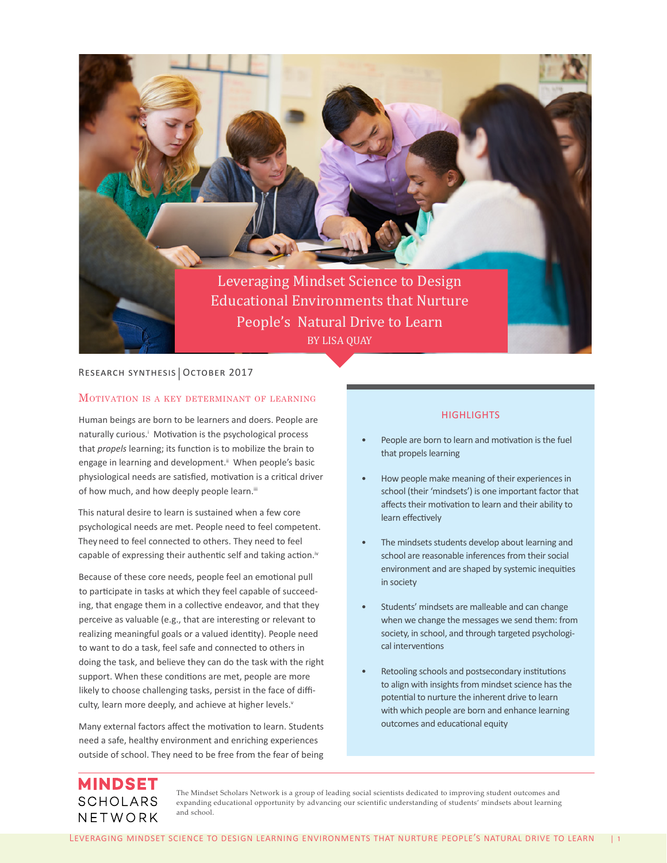

# RESEARCH SYNTHESIS | OCTOBER 2017

### Motivation is <sup>a</sup> key determinant of learning

Human beings are born to be learners and doers. People are naturally curious.<sup>1</sup> Motivation is the psychological process that *propels* learning; its function is to mobilize the brain to engage in learning and development.<sup>ii</sup> When people's basic physiological needs are satisfied, motivation is a critical driver of how much, and how deeply people learn.iii

This natural desire to learn is sustained when a few core psychological needs are met. People need to feel competent. They need to feel connected to others. They need to feel capable of expressing their authentic self and taking action.<sup>iv</sup>

Because of these core needs, people feel an emotional pull to participate in tasks at which they feel capable of succeeding, that engage them in a collective endeavor, and that they perceive as valuable (e.g., that are interesting or relevant to realizing meaningful goals or a valued identity). People need to want to do a task, feel safe and connected to others in doing the task, and believe they can do the task with the right support. When these conditions are met, people are more likely to choose challenging tasks, persist in the face of difficulty, learn more deeply, and achieve at higher levels.<sup>v</sup>

Many external factors affect the motivation to learn. Students need a safe, healthy environment and enriching experiences outside of school. They need to be free from the fear of being

### **HIGHLIGHTS**

- People are born to learn and motivation is the fuel that propels learning
- How people make meaning of their experiences in school (their 'mindsets') is one important factor that affects their motivation to learn and their ability to learn effectively
- The mindsets students develop about learning and school are reasonable inferences from their social environment and are shaped by systemic inequities in society
- Students' mindsets are malleable and can change when we change the messages we send them: from society, in school, and through targeted psychological interventions
- Retooling schools and postsecondary institutions to align with insights from mindset science has the potential to nurture the inherent drive to learn with which people are born and enhance learning outcomes and educational equity

# **MINDSET SCHOLARS** NETWORK

The Mindset Scholars Network is a group of leading social scientists dedicated to improving student outcomes and expanding educational opportunity by advancing our scientific understanding of students' mindsets about learning and school.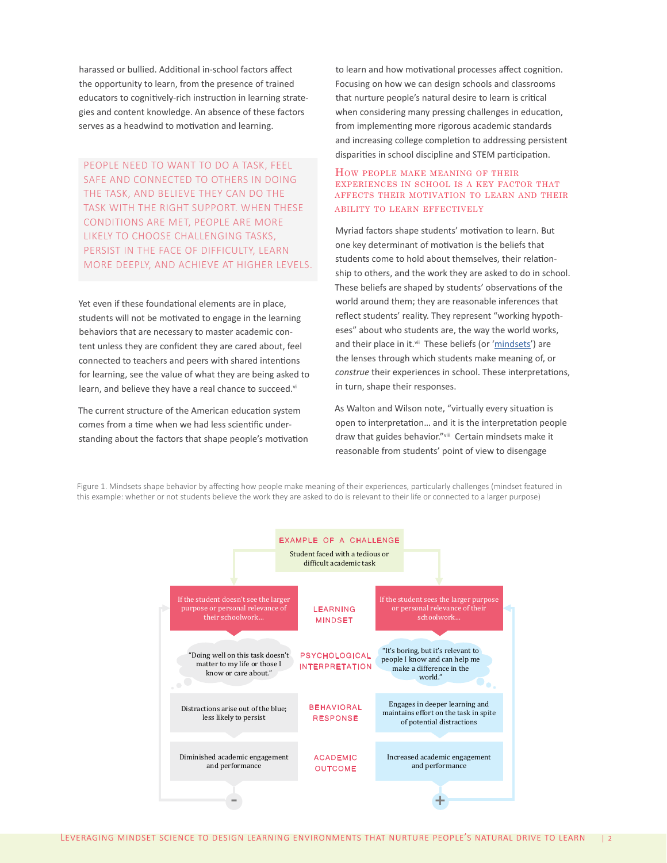harassed or bullied. Additional in-school factors affect the opportunity to learn, from the presence of trained educators to cognitively-rich instruction in learning strategies and content knowledge. An absence of these factors serves as a headwind to motivation and learning.

PEOPLE NEED TO WANT TO DO A TASK, FEEL SAFE AND CONNECTED TO OTHERS IN DOING THE TASK, AND BELIEVE THEY CAN DO THE TASK WITH THE RIGHT SUPPORT. WHEN THESE CONDITIONS ARE MET, PEOPLE ARE MORE LIKELY TO CHOOSE CHALLENGING TASKS, PERSIST IN THE FACE OF DIFFICULTY, LEARN MORE DEEPLY, AND ACHIEVE AT HIGHER LEVELS.

Yet even if these foundational elements are in place, students will not be motivated to engage in the learning behaviors that are necessary to master academic content unless they are confident they are cared about, feel connected to teachers and peers with shared intentions for learning, see the value of what they are being asked to learn, and believe they have a real chance to succeed.vi

The current structure of the American education system comes from a time when we had less scientific understanding about the factors that shape people's motivation to learn and how motivational processes affect cognition. Focusing on how we can design schools and classrooms that nurture people's natural desire to learn is critical when considering many pressing challenges in education, from implementing more rigorous academic standards and increasing college completion to addressing persistent disparities in school discipline and STEM participation.

#### How people make meaning of their experiences in school is a key factor that affects their motivation to learn and their ability to learn effectively

Myriad factors shape students' motivation to learn. But one key determinant of motivation is the beliefs that students come to hold about themselves, their relationship to others, and the work they are asked to do in school. These beliefs are shaped by students' observations of the world around them; they are reasonable inferences that reflect students' reality. They represent "working hypotheses" about who students are, the way the world works, and their place in it.<sup>vii</sup> These beliefs (or '[mindsets](http://mindsetscholarsnetwork.org/learning-mindsets/)') are the lenses through which students make meaning of, or *construe* their experiences in school. These interpretations, in turn, shape their responses.

As Walton and Wilson note, "virtually every situation is open to interpretation… and it is the interpretation people draw that guides behavior."viii Certain mindsets make it reasonable from students' point of view to disengage

Figure 1. Mindsets shape behavior by affecting how people make meaning of their experiences, particularly challenges (mindset featured in this example: whether or not students believe the work they are asked to do is relevant to their life or connected to a larger purpose)

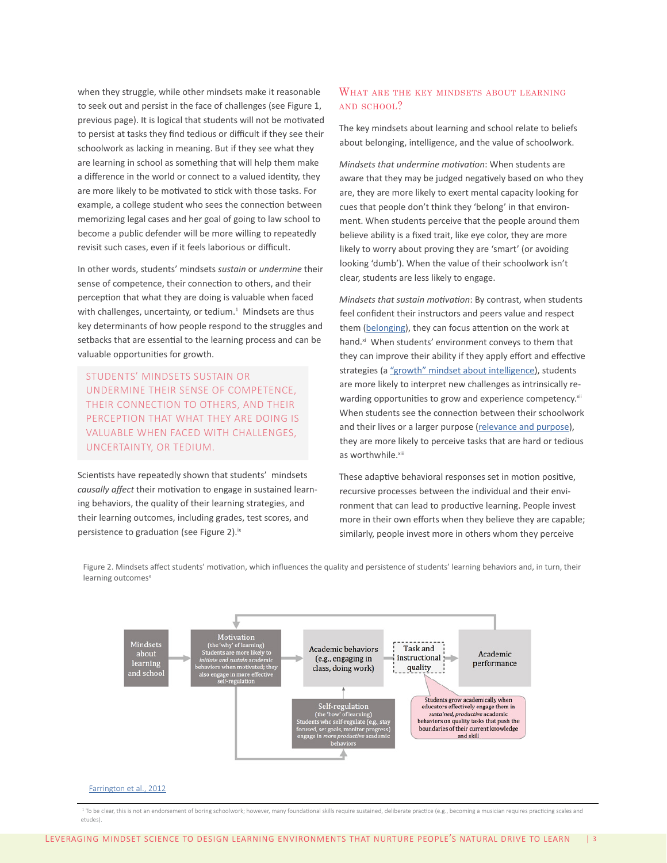when they struggle, while other mindsets make it reasonable to seek out and persist in the face of challenges (see Figure 1, previous page). It is logical that students will not be motivated to persist at tasks they find tedious or difficult if they see their schoolwork as lacking in meaning. But if they see what they are learning in school as something that will help them make a difference in the world or connect to a valued identity, they are more likely to be motivated to stick with those tasks. For example, a college student who sees the connection between memorizing legal cases and her goal of going to law school to become a public defender will be more willing to repeatedly revisit such cases, even if it feels laborious or difficult.

In other words, students' mindsets *sustain* or *undermine* their sense of competence, their connection to others, and their perception that what they are doing is valuable when faced with challenges, uncertainty, or tedium. $1$  Mindsets are thus key determinants of how people respond to the struggles and setbacks that are essential to the learning process and can be valuable opportunities for growth.

STUDENTS' MINDSETS SUSTAIN OR UNDERMINE THEIR SENSE OF COMPETENCE, THEIR CONNECTION TO OTHERS, AND THEIR PERCEPTION THAT WHAT THEY ARE DOING IS VALUABLE WHEN FACED WITH CHALLENGES, UNCERTAINTY, OR TEDIUM.

Scientists have repeatedly shown that students' mindsets *causally affect* their motivation to engage in sustained learning behaviors, the quality of their learning strategies, and their learning outcomes, including grades, test scores, and persistence to graduation (see Figure 2).<sup>ix</sup>

# WHAT ARE THE KEY MINDSETS ABOUT LEARNING and school?

The key mindsets about learning and school relate to beliefs about belonging, intelligence, and the value of schoolwork.

*Mindsets that undermine motivation*: When students are aware that they may be judged negatively based on who they are, they are more likely to exert mental capacity looking for cues that people don't think they 'belong' in that environment. When students perceive that the people around them believe ability is a fixed trait, like eye color, they are more likely to worry about proving they are 'smart' (or avoiding looking 'dumb'). When the value of their schoolwork isn't clear, students are less likely to engage.

*Mindsets that sustain motivation*: By contrast, when students feel confident their instructors and peers value and respect them ([belonging](http://mindsetscholarsnetwork.org/learning-mindsets/belonging/)), they can focus attention on the work at hand.<sup>xi</sup> When students' environment conveys to them that they can improve their ability if they apply effort and effective strategies (a ["growth" mindset about intelligence\)](http://mindsetscholarsnetwork.org/learning-mindsets/growth-mindset/), students are more likely to interpret new challenges as intrinsically rewarding opportunities to grow and experience competency.xii When students see the connection between their schoolwork and their lives or a larger purpose [\(relevance and purpose\)](http://mindsetscholarsnetwork.org/learning-mindsets/purpose-relevance/), they are more likely to perceive tasks that are hard or tedious as worthwhile.<sup>xiii</sup>

These adaptive behavioral responses set in motion positive, recursive processes between the individual and their environment that can lead to productive learning. People invest more in their own efforts when they believe they are capable; similarly, people invest more in others whom they perceive

Figure 2. Mindsets affect students' motivation, which influences the quality and persistence of students' learning behaviors and, in turn, their learning outcomes<sup>x</sup>



#### [Farrington et al., 2012](https://consortium.uchicago.edu/sites/default/files/publications/Noncognitive%20Report.pdf)

<sup>1</sup> To be clear, this is not an endorsement of boring schoolwork; however, many foundational skills require sustained, deliberate practice (e.g., becoming a musician requires practicing scales and etudes).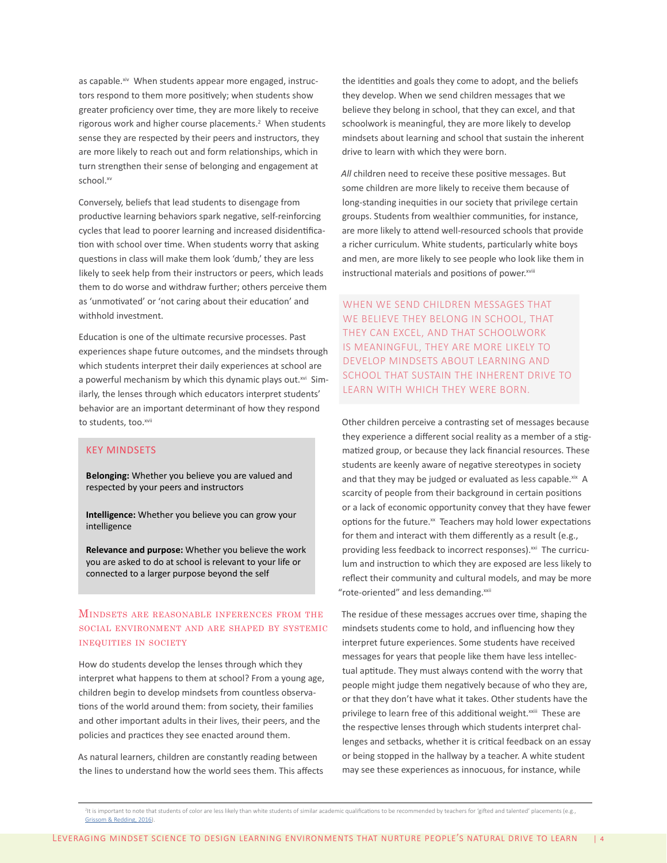as capable.<sup>xiv</sup> When students appear more engaged, instructors respond to them more positively; when students show greater proficiency over time, they are more likely to receive rigorous work and higher course placements.<sup>2</sup> When students sense they are respected by their peers and instructors, they are more likely to reach out and form relationships, which in turn strengthen their sense of belonging and engagement at school.xv

Conversely, beliefs that lead students to disengage from productive learning behaviors spark negative, self-reinforcing cycles that lead to poorer learning and increased disidentification with school over time. When students worry that asking questions in class will make them look 'dumb,' they are less likely to seek help from their instructors or peers, which leads them to do worse and withdraw further; others perceive them as 'unmotivated' or 'not caring about their education' and withhold investment.

Education is one of the ultimate recursive processes. Past experiences shape future outcomes, and the mindsets through which students interpret their daily experiences at school are a powerful mechanism by which this dynamic plays out.<sup>xvi</sup> Similarly, the lenses through which educators interpret students' behavior are an important determinant of how they respond to students, too.xvii

### KEY MINDSETS

**Belonging:** Whether you believe you are valued and respected by your peers and instructors

**Intelligence:** Whether you believe you can grow your intelligence

**Relevance and purpose:** Whether you believe the work you are asked to do at school is relevant to your life or connected to a larger purpose beyond the self

# Mindsets are reasonable inferences from the social environment and are shaped by systemic inequities in society

How do students develop the lenses through which they interpret what happens to them at school? From a young age, children begin to develop mindsets from countless observations of the world around them: from society, their families and other important adults in their lives, their peers, and the policies and practices they see enacted around them.

As natural learners, children are constantly reading between the lines to understand how the world sees them. This affects the identities and goals they come to adopt, and the beliefs they develop. When we send children messages that we believe they belong in school, that they can excel, and that schoolwork is meaningful, they are more likely to develop mindsets about learning and school that sustain the inherent drive to learn with which they were born.

*All* children need to receive these positive messages. But some children are more likely to receive them because of long-standing inequities in our society that privilege certain groups. Students from wealthier communities, for instance, are more likely to attend well-resourced schools that provide a richer curriculum. White students, particularly white boys and men, are more likely to see people who look like them in instructional materials and positions of power.xviii

WHEN WE SEND CHILDREN MESSAGES THAT WE BELIEVE THEY BELONG IN SCHOOL, THAT THEY CAN EXCEL, AND THAT SCHOOLWORK IS MEANINGFUL, THEY ARE MORE LIKELY TO DEVELOP MINDSETS ABOUT LEARNING AND SCHOOL THAT SUSTAIN THE INHERENT DRIVE TO LEARN WITH WHICH THEY WERE BORN.

Other children perceive a contrasting set of messages because they experience a different social reality as a member of a stigmatized group, or because they lack financial resources. These students are keenly aware of negative stereotypes in society and that they may be judged or evaluated as less capable. ${}^{xix}$  A scarcity of people from their background in certain positions or a lack of economic opportunity convey that they have fewer options for the future. $x$  Teachers may hold lower expectations for them and interact with them differently as a result (e.g., providing less feedback to incorrect responses).<sup>xxi</sup> The curriculum and instruction to which they are exposed are less likely to reflect their community and cultural models, and may be more "rote-oriented" and less demanding.<sup>xxii</sup>

The residue of these messages accrues over time, shaping the mindsets students come to hold, and influencing how they interpret future experiences. Some students have received messages for years that people like them have less intellectual aptitude. They must always contend with the worry that people might judge them negatively because of who they are, or that they don't have what it takes. Other students have the privilege to learn free of this additional weight.<sup>xxiii</sup> These are the respective lenses through which students interpret challenges and setbacks, whether it is critical feedback on an essay or being stopped in the hallway by a teacher. A white student may see these experiences as innocuous, for instance, while

<sup>&</sup>lt;sup>2</sup>It is important to note that students of color are less likely than white students of similar academic qualifications to be recommended by teachers for 'gifted and talented' placements (e.g., [Grissom & Redding, 2016](http://journals.sagepub.com/doi/abs/10.1177/2332858415622175)).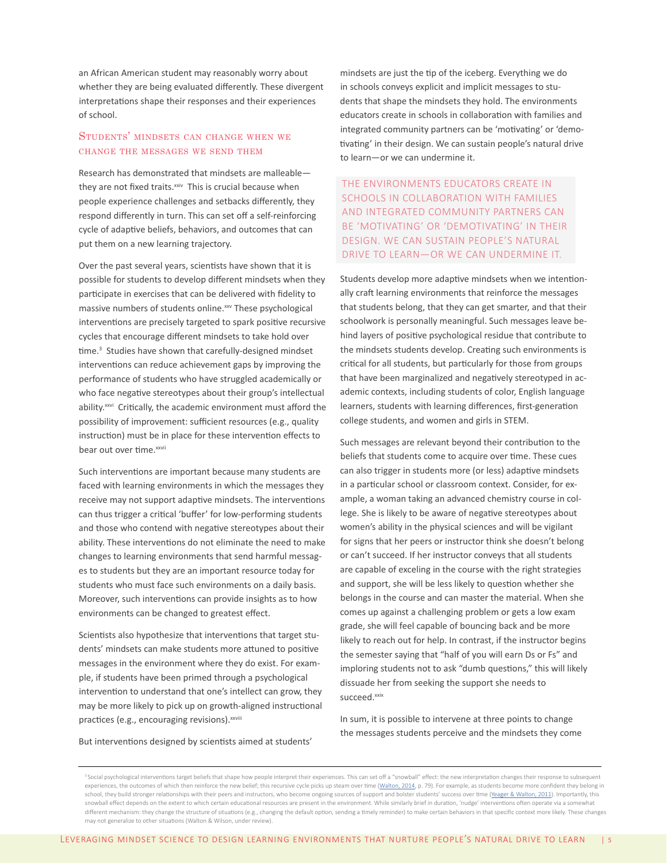an African American student may reasonably worry about whether they are being evaluated differently. These divergent interpretations shape their responses and their experiences of school.

# Students' mindsets can change when we change the messages we send them

Research has demonstrated that mindsets are malleable they are not fixed traits.<sup>xxiv</sup> This is crucial because when people experience challenges and setbacks differently, they respond differently in turn. This can set off a self-reinforcing cycle of adaptive beliefs, behaviors, and outcomes that can put them on a new learning trajectory.

Over the past several years, scientists have shown that it is possible for students to develop different mindsets when they participate in exercises that can be delivered with fidelity to massive numbers of students online.<sup>xxv</sup> These psychological interventions are precisely targeted to spark positive recursive cycles that encourage different mindsets to take hold over time.<sup>3</sup> Studies have shown that carefully-designed mindset interventions can reduce achievement gaps by improving the performance of students who have struggled academically or who face negative stereotypes about their group's intellectual ability.<sup>xxvi</sup> Critically, the academic environment must afford the possibility of improvement: sufficient resources (e.g., quality instruction) must be in place for these intervention effects to bear out over time.<sup>xxvii</sup>

Such interventions are important because many students are faced with learning environments in which the messages they receive may not support adaptive mindsets. The interventions can thus trigger a critical 'buffer' for low-performing students and those who contend with negative stereotypes about their ability. These interventions do not eliminate the need to make changes to learning environments that send harmful messages to students but they are an important resource today for students who must face such environments on a daily basis. Moreover, such interventions can provide insights as to how environments can be changed to greatest effect.

Scientists also hypothesize that interventions that target students' mindsets can make students more attuned to positive messages in the environment where they do exist. For example, if students have been primed through a psychological intervention to understand that one's intellect can grow, they may be more likely to pick up on growth-aligned instructional practices (e.g., encouraging revisions). XXVIII

But interventions designed by scientists aimed at students'

mindsets are just the tip of the iceberg. Everything we do in schools conveys explicit and implicit messages to students that shape the mindsets they hold. The environments educators create in schools in collaboration with families and integrated community partners can be 'motivating' or 'demotivating' in their design. We can sustain people's natural drive to learn—or we can undermine it.

THE ENVIRONMENTS EDUCATORS CREATE IN SCHOOLS IN COLLABORATION WITH FAMILIES AND INTEGRATED COMMUNITY PARTNERS CAN BE 'MOTIVATING' OR 'DEMOTIVATING' IN THEIR DESIGN. WE CAN SUSTAIN PEOPLE'S NATURAL DRIVE TO LEARN—OR WE CAN UNDERMINE IT.

Students develop more adaptive mindsets when we intentionally craft learning environments that reinforce the messages that students belong, that they can get smarter, and that their schoolwork is personally meaningful. Such messages leave behind layers of positive psychological residue that contribute to the mindsets students develop. Creating such environments is critical for all students, but particularly for those from groups that have been marginalized and negatively stereotyped in academic contexts, including students of color, English language learners, students with learning differences, first-generation college students, and women and girls in STEM.

Such messages are relevant beyond their contribution to the beliefs that students come to acquire over time. These cues can also trigger in students more (or less) adaptive mindsets in a particular school or classroom context. Consider, for example, a woman taking an advanced chemistry course in college. She is likely to be aware of negative stereotypes about women's ability in the physical sciences and will be vigilant for signs that her peers or instructor think she doesn't belong or can't succeed. If her instructor conveys that all students are capable of exceling in the course with the right strategies and support, she will be less likely to question whether she belongs in the course and can master the material. When she comes up against a challenging problem or gets a low exam grade, she will feel capable of bouncing back and be more likely to reach out for help. In contrast, if the instructor begins the semester saying that "half of you will earn Ds or Fs" and imploring students not to ask "dumb questions," this will likely dissuade her from seeking the support she needs to succeed.xxix

In sum, it is possible to intervene at three points to change the messages students perceive and the mindsets they come

<sup>&</sup>lt;sup>3</sup> Social psychological interventions target beliefs that shape how people interpret their experiences. This can set off a "snowball" effect: the new interpretation changes their response to subsequent experiences, the outcomes of which then reinforce the new belief; this recursive cycle picks up steam over time ([Walton, 2014,](http://gregorywalton-stanford.weebly.com/uploads/4/9/4/4/49448111/walton_2014.pdf) p. 79). For example, as students become more confident they belong in school, they build stronger relationships with their peers and instructors, who become ongoing sources of support and bolster students' success over time [\(Yeager & Walton, 2011](http://gregorywalton-stanford.weebly.com/uploads/4/9/4/4/49448111/yeagerwalton2011.pdf)). Importantly, this snowball effect depends on the extent to which certain educational resources are present in the environment. While similarly brief in duration, 'nudge' interventions often operate via a somewhat different mechanism: they change the structure of situations (e.g., changing the default option, sending a timely reminder) to make certain behaviors in that specific context more likely. These changes may not generalize to other situations (Walton & Wilson, under review).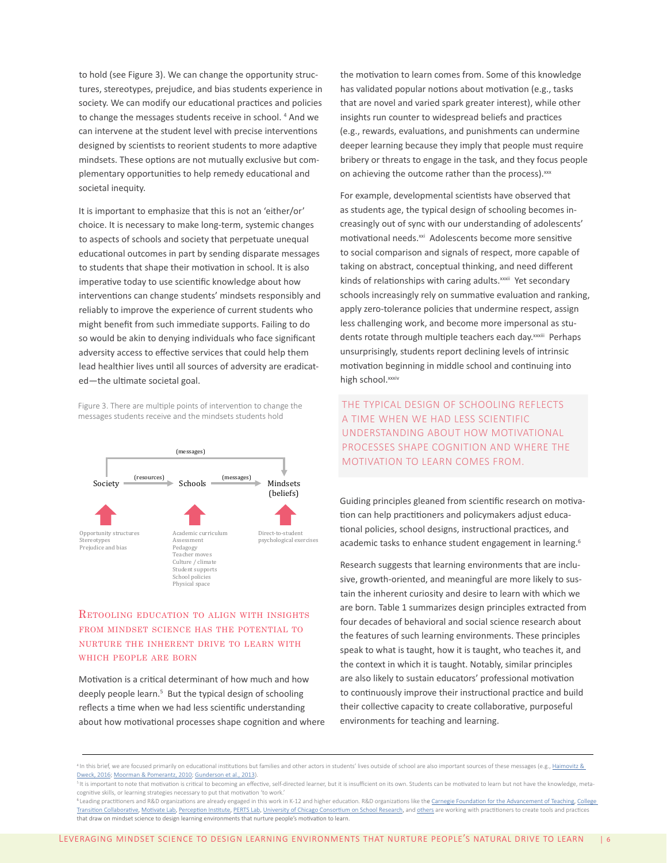to hold (see Figure 3). We can change the opportunity structures, stereotypes, prejudice, and bias students experience in society. We can modify our educational practices and policies to change the messages students receive in school.<sup>4</sup> And we can intervene at the student level with precise interventions designed by scientists to reorient students to more adaptive mindsets. These options are not mutually exclusive but complementary opportunities to help remedy educational and societal inequity.

It is important to emphasize that this is not an 'either/or' choice. It is necessary to make long-term, systemic changes to aspects of schools and society that perpetuate unequal educational outcomes in part by sending disparate messages to students that shape their motivation in school. It is also imperative today to use scientific knowledge about how interventions can change students' mindsets responsibly and reliably to improve the experience of current students who might benefit from such immediate supports. Failing to do so would be akin to denying individuals who face significant adversity access to effective services that could help them lead healthier lives until all sources of adversity are eradicated—the ultimate societal goal.

Figure 3. There are multiple points of intervention to change the messages students receive and the mindsets students hold



# Retooling education to align with insights from mindset science has the potential to nurture the inherent drive to learn with which people are born

Motivation is a critical determinant of how much and how deeply people learn.<sup>5</sup> But the typical design of schooling reflects a time when we had less scientific understanding about how motivational processes shape cognition and where the motivation to learn comes from. Some of this knowledge has validated popular notions about motivation (e.g., tasks that are novel and varied spark greater interest), while other insights run counter to widespread beliefs and practices (e.g., rewards, evaluations, and punishments can undermine deeper learning because they imply that people must require bribery or threats to engage in the task, and they focus people on achieving the outcome rather than the process). xxx

For example, developmental scientists have observed that as students age, the typical design of schooling becomes increasingly out of sync with our understanding of adolescents' motivational needs.<sup>xxi</sup> Adolescents become more sensitive to social comparison and signals of respect, more capable of taking on abstract, conceptual thinking, and need different kinds of relationships with caring adults.<sup>xxxii</sup> Yet secondary schools increasingly rely on summative evaluation and ranking, apply zero-tolerance policies that undermine respect, assign less challenging work, and become more impersonal as students rotate through multiple teachers each day. xxxiii Perhaps unsurprisingly, students report declining levels of intrinsic motivation beginning in middle school and continuing into high school.<sup>xxxiv</sup>

THE TYPICAL DESIGN OF SCHOOLING REFLECTS A TIME WHEN WE HAD LESS SCIENTIFIC UNDERSTANDING ABOUT HOW MOTIVATIONAL PROCESSES SHAPE COGNITION AND WHERE THE MOTIVATION TO LEARN COMES FROM.

Guiding principles gleaned from scientific research on motivation can help practitioners and policymakers adjust educational policies, school designs, instructional practices, and academic tasks to enhance student engagement in learning.<sup>6</sup>

Research suggests that learning environments that are inclusive, growth-oriented, and meaningful are more likely to sustain the inherent curiosity and desire to learn with which we are born. Table 1 summarizes design principles extracted from four decades of behavioral and social science research about the features of such learning environments. These principles speak to what is taught, how it is taught, who teaches it, and the context in which it is taught. Notably, similar principles are also likely to sustain educators' professional motivation to continuously improve their instructional practice and build their collective capacity to create collaborative, purposeful environments for teaching and learning.

<sup>&</sup>lt;sup>4</sup> In this brief, we are focused primarily on educational institutions but families and other actors in students' lives outside of school are also important sources of these messages (e.g., Haimovitz & [Dweck, 2016;](http://journals.sagepub.com/doi/abs/10.1177/0956797616639727?journalCode=pssa) [Moorman & Pomerantz, 2010](http://psycnet.apa.org/record/2010-17955-030); [Gunderson et al., 2013\)](https://www.ncbi.nlm.nih.gov/pmc/articles/PMC3655123/).

<sup>&</sup>lt;sup>5</sup> It is important to note that motivation is critical to becoming an effective, self-directed learner, but it is insufficient on its own. Students can be motivated to learn but not have the knowledge, metacognitive skills, or learning strategies necessary to put that motivation 'to work.'

<sup>&</sup>lt;sup>6</sup> Leading practitioners and R&D organizations are already engaged in this work in K-12 and higher education. R&D organizations like the [Carnegie Foundation for the Advancement of Teaching](https://www.carnegiefoundation.org/in-action/student-agency-improvement-community/), College [Transition Collaborative](http://collegetransitioncollaborative.org/), [Motivate Lab](https://motivatelab.org/), [Perception Institute,](https://perception.org/) [PERTS Lab,](https://www.perts.net/) [University of Chicago Consortium on School Research,](https://consortium.uchicago.edu/publications/foundations-young-adult-success-developmental-framework) and [others](http://mindsetscholarsnetwork.org/research-library/tools-examples/) are working with practitioners to create tools and practices that draw on mindset science to design learning environments that nurture people's motivation to learn.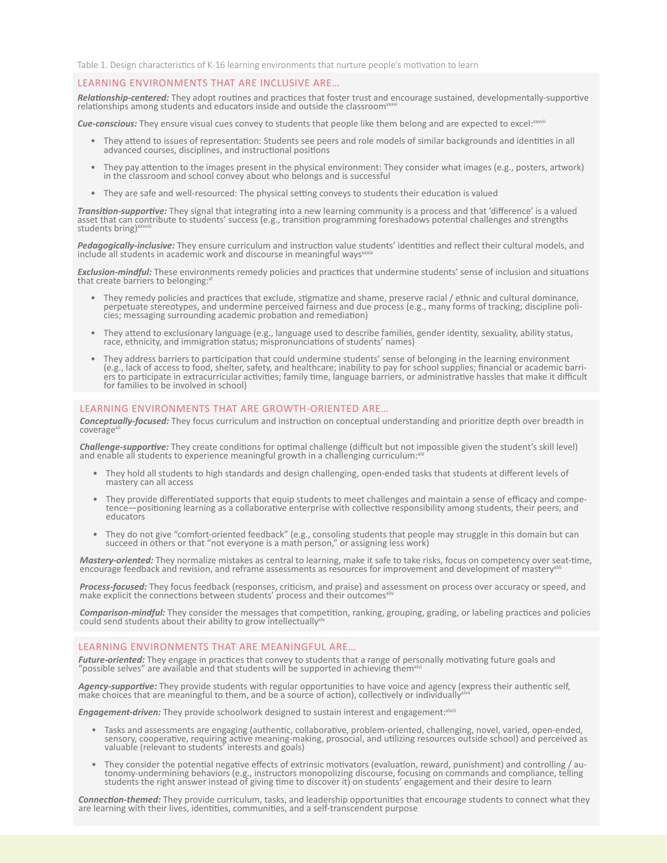Table 1. Design characteristics of K-16 learning environments that nurture people's motivation to learn

#### LEARNING ENVIRONMENTS THAT ARE INCLUSIVE ARE…

*Relationship-centered:* They adopt routines and practices that foster trust and encourage sustained, developmentally-supportive relationships among students and educators inside and outside the classroom<sup>xxx</sup>

**Cue-conscious:** They ensure visual cues convey to students that people like them belong and are expected to excel:xxxxvii

- They attend to issues of representation: Students see peers and role models of similar backgrounds and identities in all advanced courses, disciplines, and instructional positions
- They pay attention to the images present in the physical environment: They consider what images (e.g., posters, artwork) in the classroom and school convey about who belongs and is successful
- They are safe and well-resourced: The physical setting conveys to students their education is valued

*Transition-supportive:* They signal that integrating into a new learning community is a process and that 'difference' is a valued asset that can contribute to stūdents' success (e.g., transition programming foreshadows potential challenges and strengths<br>students bring)

*Pedagogically-inclusive:* They ensure curriculum and instruction value students' identities and reflect their cultural models, and include all students in academic work and discourse in meaningful ways<sup>x</sup>

*Exclusion-mindful:* These environments remedy policies and practices that undermine students' sense of inclusion and situations that create barriers to belonging:

- They remedy policies and practices that exclude, stigmatize and shame, preserve racial / ethnic and cultural dominance, perpetuate stereotypes, and undermine perceived fairness and due process (e.g., many forms of tracking; discipline poli- cies; messaging surrounding academic probation and remediation)
- They attend to exclusionary language (e.g., language used to describe families, gender identity, sexuality, ability status, race, ethnicity, and immigration status; mispronunciations of students' names)
- They address barriers to participation that could undermine students' sense of belonging in the learning environment (e.g., lack of access to food, shelter, safety, and healthcare; inability to pay for school supplies; f ers to participate in extracurricular activities; family time, language barriers, or administrative hassles that make it difficult for families to be involved in school)

#### LEARNING ENVIRONMENTS THAT ARE GROWTH-ORIENTED ARE…

*Conceptually-focused:* They focus curriculum and instruction on conceptual understanding and prioritize depth over breadth in coverage<sup>xl</sup>

*Challenge-supportive:* They create conditions for optimal challenge (difficult but not impossible given the student's skill level) and enable all students to experience meaningful growth in a challenging curriculum: $x$ 

- They hold all students to high standards and design challenging, open-ended tasks that students at different levels of mastery can all access
- They provide differentiated supports that equip students to meet challenges and maintain a sense of efficacy and competence—positioning learning as a collaborative enterprise with collective responsibility among students educators
- They do not give "comfort-oriented feedback" (e.g., consoling students that people may struggle in this domain but can succeed in others or that "not everyone is a math person," or assigning less work)

*Mastery-oriented:* They normalize mistakes as central to learning, make it safe to take risks, focus on competency over seat-time, encourage feedback and revision, and reframe assessments as resources for improvement and development of mastery

**Process-focused:** They focus feedback (responses, criticism, and praise) and assessment on process over accuracy or speed, and<br>make explicit the connections between students' process and their outcomes<sup>xliv</sup>

*Comparison-mindful:* They consider the messages that competition, ranking, grouping, grading, or labeling practices and policies  $\frac{1}{2}$  could send students about their ability to grow intellectually

### LEARNING ENVIRONMENTS THAT ARE MEANINGFUL ARE…

Future-oriented: They engage in practices that convey to students that a range of personally motivating future goals and<br>"possible selves" are available and that students will be supported in achieving them<sup>xlvi</sup>

**Agency-supportive:** They provide students with regular opportunities to have voice and agency (express their authentic self,<br>make choices that are meaningful to them, and be a source of action), collectively or individual

**Engagement-driven:** They provide schoolwork designed to sustain interest and engagement: XIVIIII

- Tasks and assessments are engaging (authentic, collaborative, problem-oriented, challenging, novel, varied, open-ended, sensory, cooperative, requiring active meaning-making, prosocial, and utilizing resources outside school) and perceived as valuable (relevant to students<sup>7</sup> interests and goals)
- They consider the potential negative effects of extrinsic motivators (evaluation, reward, punishment) and controlling / au-<br>tonomy-undermining behaviors (e.g., instructors monopolizing discourse, focusing on commands and students the right answer instead of giving time to discover it) on students' engagement and their desire to learn

*Connection-themed:* They provide curriculum, tasks, and leadership opportunities that encourage students to connect what they are learning with their lives, identities, communities, and a self-transcendent purpose